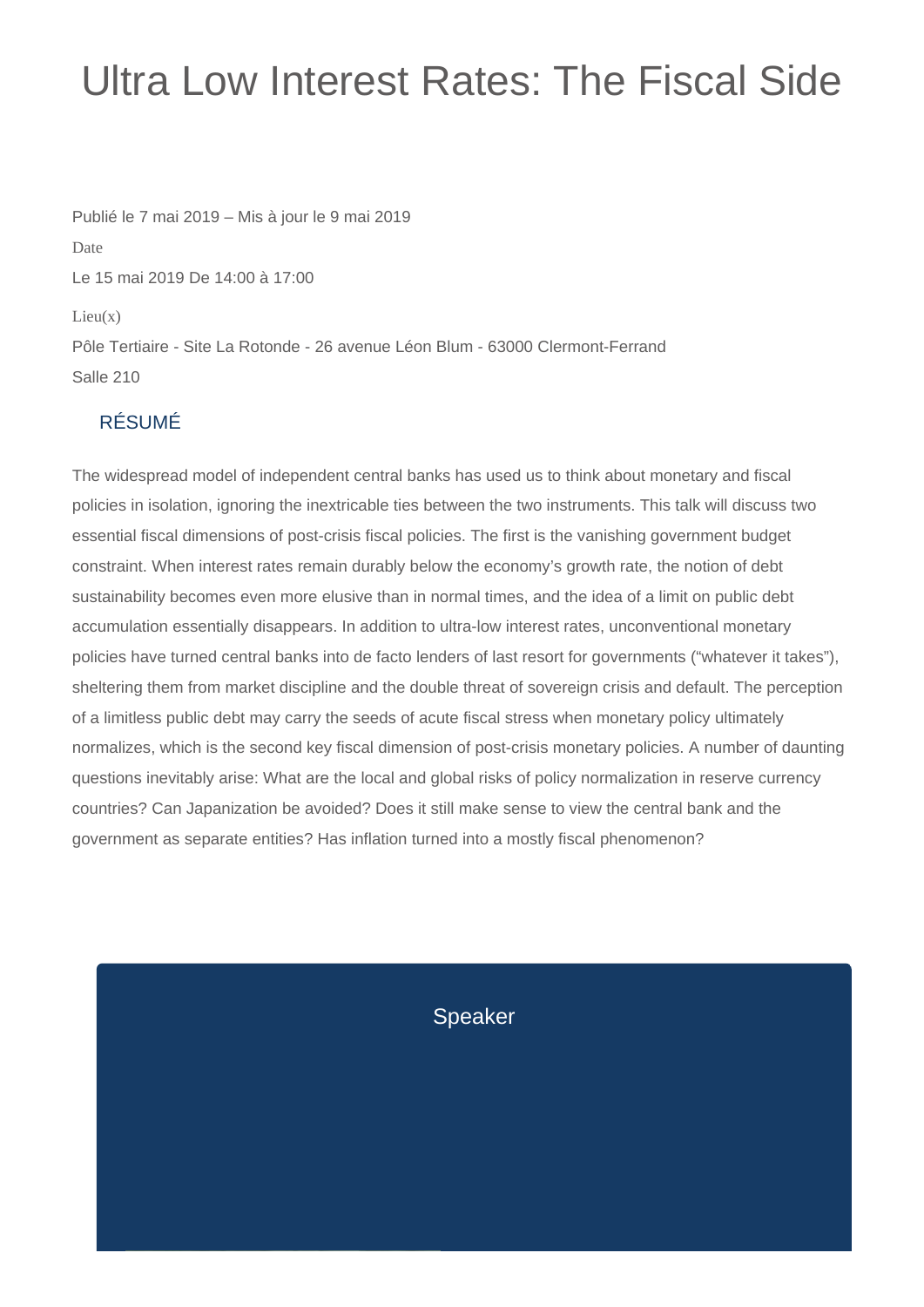## Ultra Low Interest Rates: The Fiscal Side

Publié le 7 mai 2019 – Mis à jour le 9 mai 2019 Date Le 15 mai 2019 De 14:00 à 17:00  $Lieu(x)$ Pôle Tertiaire - Site La Rotonde - 26 avenue Léon Blum - 63000 Clermont-Ferrand Salle 210

## RÉSUMÉ

The widespread model of independent central banks has used us to think about monetary and fiscal policies in isolation, ignoring the inextricable ties between the two instruments. This talk will discuss two essential fiscal dimensions of post-crisis fiscal policies. The first is the vanishing government budget constraint. When interest rates remain durably below the economy's growth rate, the notion of debt sustainability becomes even more elusive than in normal times, and the idea of a limit on public debt accumulation essentially disappears. In addition to ultra-low interest rates, unconventional monetary policies have turned central banks into de facto lenders of last resort for governments ("whatever it takes"), sheltering them from market discipline and the double threat of sovereign crisis and default. The perception of a limitless public debt may carry the seeds of acute fiscal stress when monetary policy ultimately normalizes, which is the second key fiscal dimension of post-crisis monetary policies. A number of daunting questions inevitably arise: What are the local and global risks of policy normalization in reserve currency countries? Can Japanization be avoided? Does it still make sense to view the central bank and the government as separate entities? Has inflation turned into a mostly fiscal phenomenon?